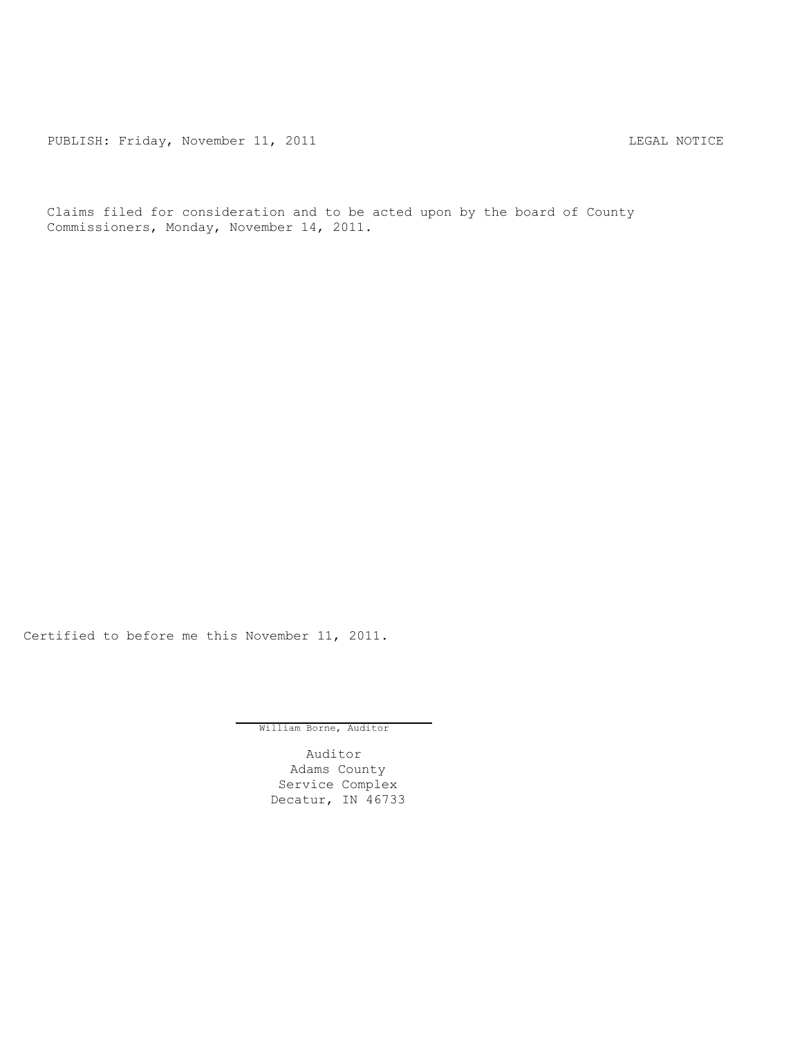PUBLISH: Friday, November 11, 2011 CHA CONTROL CONTROLLING MOTICE

Claims filed for consideration and to be acted upon by the board of County Commissioners, Monday, November 14, 2011.

Certified to before me this November 11, 2011.

William Borne, Auditor

Auditor Adams County Service Complex Decatur, IN 46733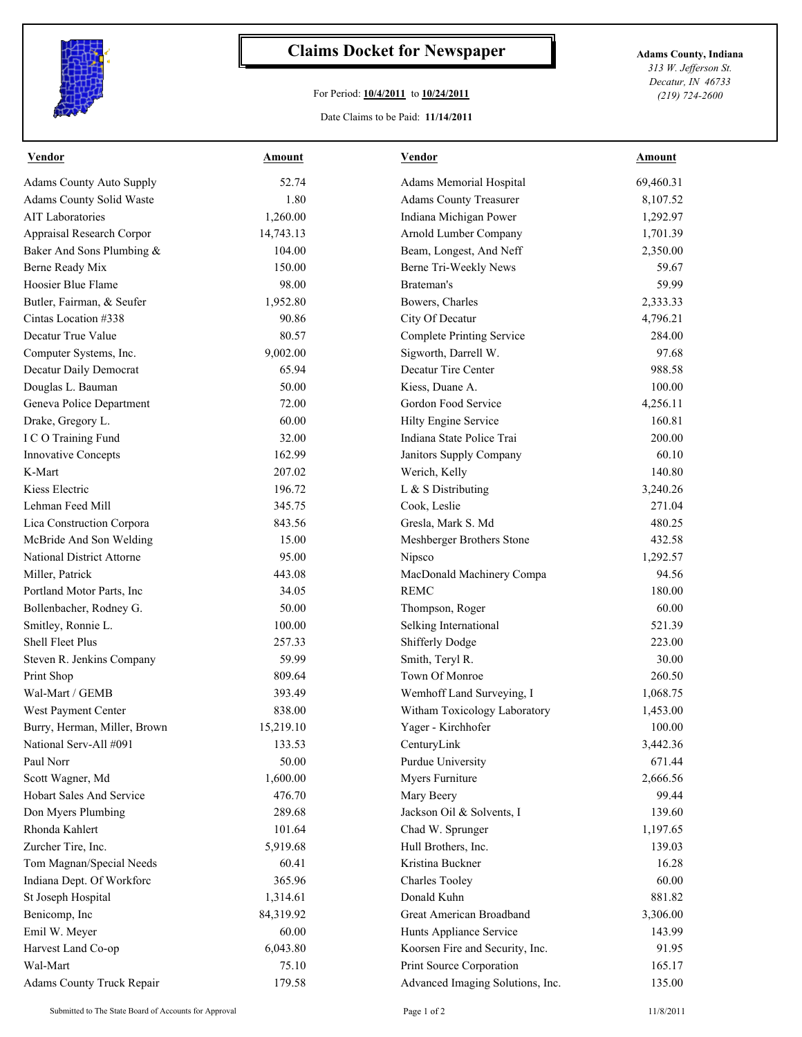

## **Claims Docket for Newspaper Adams County, Indiana**

## For Period: **10/4/2011** to **10/24/2011**

Date Claims to be Paid: **11/14/2011**

*313 W. Jefferson St. Decatur, IN 46733 (219) 724-2600*

| Vendor                           | <b>Amount</b> | Vendor                           | <b>Amount</b> |
|----------------------------------|---------------|----------------------------------|---------------|
| <b>Adams County Auto Supply</b>  | 52.74         | Adams Memorial Hospital          | 69,460.31     |
| Adams County Solid Waste         | 1.80          | <b>Adams County Treasurer</b>    | 8,107.52      |
| <b>AIT Laboratories</b>          | 1,260.00      | Indiana Michigan Power           | 1,292.97      |
| Appraisal Research Corpor        | 14,743.13     | Arnold Lumber Company            | 1,701.39      |
| Baker And Sons Plumbing &        | 104.00        | Beam, Longest, And Neff          | 2,350.00      |
| Berne Ready Mix                  | 150.00        | Berne Tri-Weekly News            | 59.67         |
| Hoosier Blue Flame               | 98.00         | Brateman's                       | 59.99         |
| Butler, Fairman, & Seufer        | 1,952.80      | Bowers, Charles                  | 2,333.33      |
| Cintas Location #338             | 90.86         | City Of Decatur                  | 4,796.21      |
| Decatur True Value               | 80.57         | <b>Complete Printing Service</b> | 284.00        |
| Computer Systems, Inc.           | 9,002.00      | Sigworth, Darrell W.             | 97.68         |
| Decatur Daily Democrat           | 65.94         | Decatur Tire Center              | 988.58        |
| Douglas L. Bauman                | 50.00         | Kiess, Duane A.                  | 100.00        |
| Geneva Police Department         | 72.00         | Gordon Food Service              | 4,256.11      |
| Drake, Gregory L.                | 60.00         | Hilty Engine Service             | 160.81        |
| I C O Training Fund              | 32.00         | Indiana State Police Trai        | 200.00        |
| Innovative Concepts              | 162.99        | Janitors Supply Company          | 60.10         |
| K-Mart                           | 207.02        | Werich, Kelly                    | 140.80        |
| Kiess Electric                   | 196.72        | L & S Distributing               | 3,240.26      |
| Lehman Feed Mill                 | 345.75        | Cook, Leslie                     | 271.04        |
| Lica Construction Corpora        | 843.56        | Gresla, Mark S. Md               | 480.25        |
| McBride And Son Welding          | 15.00         | Meshberger Brothers Stone        | 432.58        |
| <b>National District Attorne</b> | 95.00         | Nipsco                           | 1,292.57      |
| Miller, Patrick                  | 443.08        | MacDonald Machinery Compa        | 94.56         |
| Portland Motor Parts, Inc.       | 34.05         | <b>REMC</b>                      | 180.00        |
| Bollenbacher, Rodney G.          | 50.00         | Thompson, Roger                  | 60.00         |
| Smitley, Ronnie L.               | 100.00        | Selking International            | 521.39        |
| Shell Fleet Plus                 | 257.33        | Shifferly Dodge                  | 223.00        |
| Steven R. Jenkins Company        | 59.99         | Smith, Teryl R.                  | 30.00         |
| Print Shop                       | 809.64        | Town Of Monroe                   | 260.50        |
| Wal-Mart / GEMB                  | 393.49        | Wemhoff Land Surveying, I        | 1,068.75      |
| West Payment Center              | 838.00        | Witham Toxicology Laboratory     | 1,453.00      |
| Burry, Herman, Miller, Brown     | 15,219.10     | Yager - Kirchhofer               | 100.00        |
| National Serv-All #091           | 133.53        | CenturyLink                      | 3,442.36      |
| Paul Norr                        | 50.00         | Purdue University                | 671.44        |
| Scott Wagner, Md                 | 1,600.00      | Myers Furniture                  | 2,666.56      |
| Hobart Sales And Service         | 476.70        | Mary Beery                       | 99.44         |
| Don Myers Plumbing               | 289.68        | Jackson Oil & Solvents, I        | 139.60        |
| Rhonda Kahlert                   | 101.64        | Chad W. Sprunger                 | 1,197.65      |
| Zurcher Tire, Inc.               | 5,919.68      | Hull Brothers, Inc.              | 139.03        |
| Tom Magnan/Special Needs         | 60.41         | Kristina Buckner                 | 16.28         |
| Indiana Dept. Of Workforc        | 365.96        | Charles Tooley                   | 60.00         |
|                                  |               | Donald Kuhn                      | 881.82        |
| St Joseph Hospital               | 1,314.61      |                                  |               |
| Benicomp, Inc                    | 84,319.92     | Great American Broadband         | 3,306.00      |
| Emil W. Meyer                    | 60.00         | Hunts Appliance Service          | 143.99        |
| Harvest Land Co-op               | 6,043.80      | Koorsen Fire and Security, Inc.  | 91.95         |
| Wal-Mart                         | 75.10         | Print Source Corporation         | 165.17        |
| Adams County Truck Repair        | 179.58        | Advanced Imaging Solutions, Inc. | 135.00        |

Submitted to The State Board of Accounts for Approval Page 1 of 2 11/8/2011